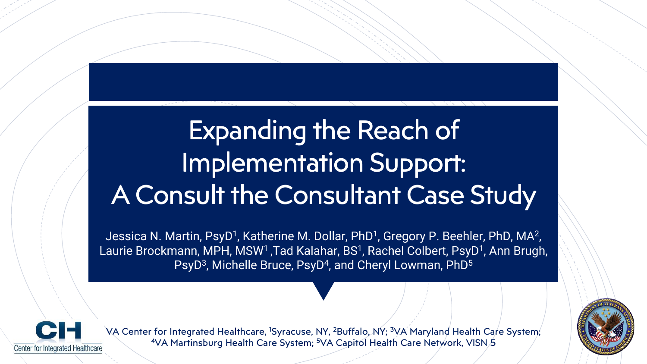# Expanding the Reach of Implementation Support: A Consult the Consultant Case Study

Jessica N. Martin, PsyD<sup>1</sup>, Katherine M. Dollar, PhD<sup>1</sup>, Gregory P. Beehler, PhD, MA<sup>2</sup>, Laurie Brockmann, MPH, MSW<sup>1</sup> ,Tad Kalahar, BS<sup>1</sup>, Rachel Colbert, PsyD<sup>1</sup>, Ann Brugh, PsyD<sup>3</sup>, Michelle Bruce, PsyD<sup>4</sup>, and Cheryl Lowman, PhD<sup>5</sup>



VA Center for Integrated Healthcare, <sup>1</sup>Syracuse, NY, <sup>2</sup>Buffalo, NY; <sup>3</sup>VA Maryland Health Care System; 4VA Martinsburg Health Care System; <sup>5</sup>VA Capitol Health Care Network, VISN 5

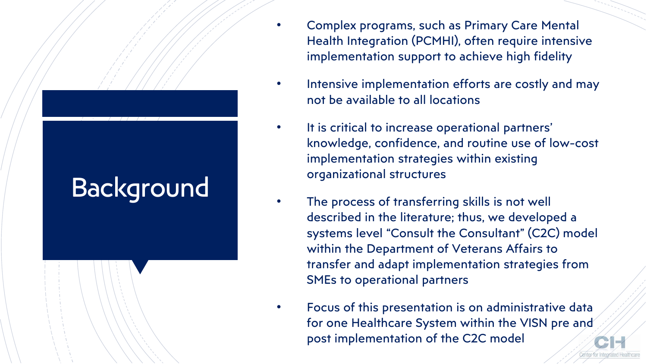# Background

- Complex programs, such as Primary Care Mental Health Integration (PCMHI), often require intensive implementation support to achieve high fidelity
- Intensive implementation efforts are costly and may not be available to all locations
- It is critical to increase operational partners' knowledge, confidence, and routine use of low-cost implementation strategies within existing organizational structures
- The process of transferring skills is not well described in the literature; thus, we developed a systems level "Consult the Consultant" (C2C) model within the Department of Veterans Affairs to transfer and adapt implementation strategies from SMEs to operational partners
- Focus of this presentation is on administrative data for one Healthcare System within the VISN pre and post implementation of the C2C model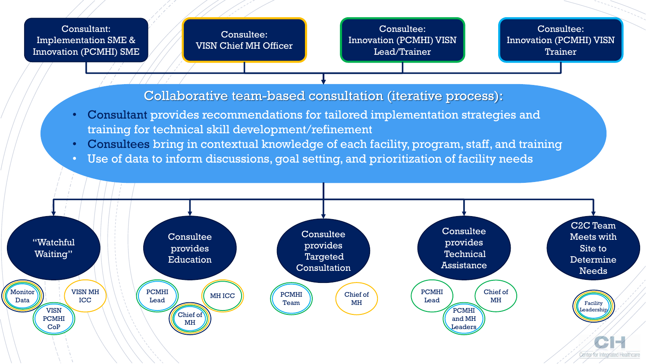#### Consultant: Implementation SME & Innovation (PCMHI) SME

Consultee: VISN Chief MH Officer

Consultee: Innovation (PCMHI) VISN Lead/Trainer

Consultee: Innovation (PCMHI) VISN **Trainer** 

Collaborative team-based consultation (iterative process):

- Consultant provides recommendations for tailored implementation strategies and training for technical skill development/refinement
- Consultees bring in contextual knowledge of each facility, program, staff, and training
- Use of data to inform discussions, goal setting, and prioritization of facility needs

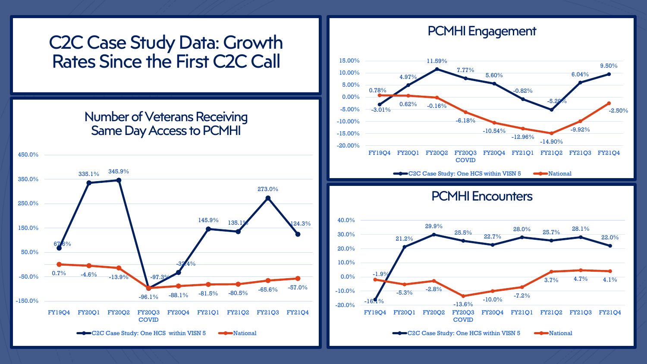# C2C Case Study Data: Growth Rates Since the First C2C Call

## Number of Veterans Receiving Same Day Access to PCMHI



# PCMHI Engagement



PCMHI Encounters

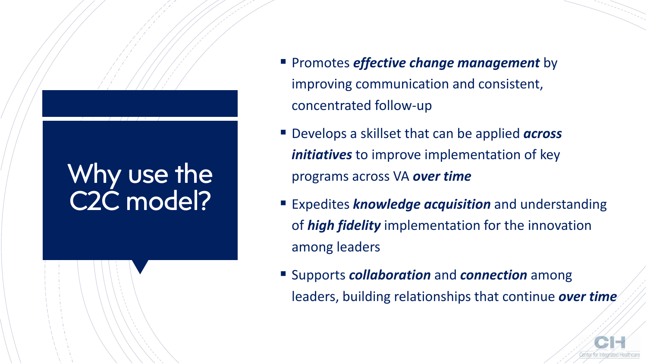# Why use the C2C model?

- **EXPromotes** *effective change management* by improving communication and consistent, concentrated follow-up
- Develops a skillset that can be applied *across initiatives* to improve implementation of key programs across VA *over time*
- **Expedites** *knowledge acquisition* and understanding of *high fidelity* implementation for the innovation among leaders
- Supports *collaboration* and *connection* among leaders, building relationships that continue *over time*